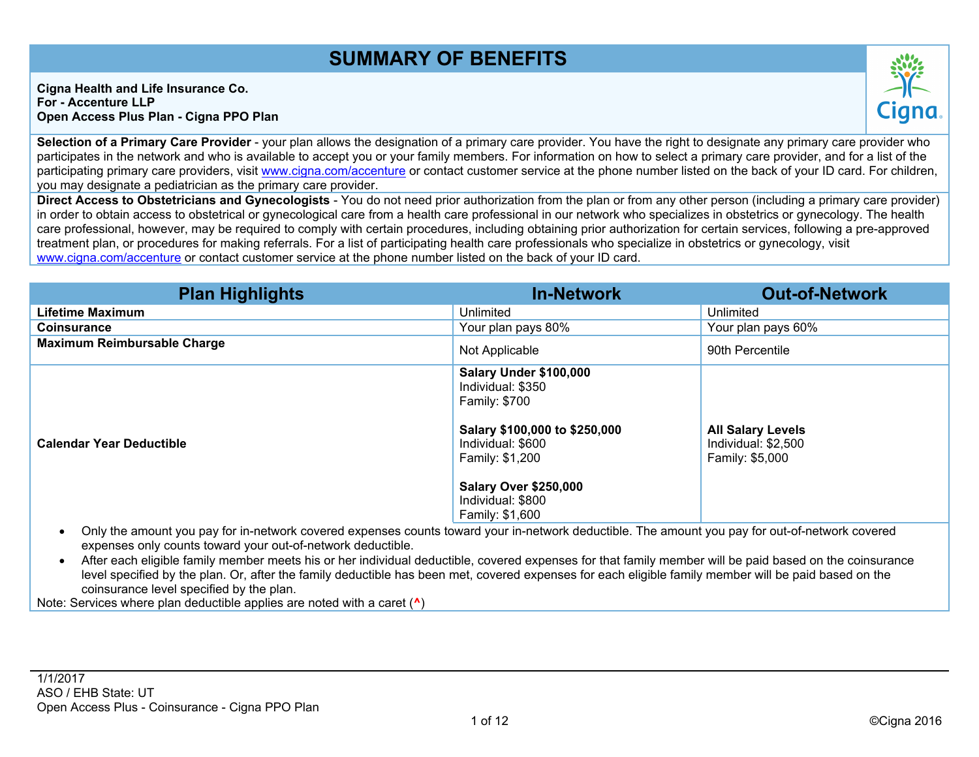# SUMMARY OF BENEFITS

Cigna Health and Life Insurance Co. For - Accenture LLP Open Access Plus Plan - Cigna PPO Plan

Selection of a Primary Care Provider - your plan allows the designation of a primary care provider. You have the right to designate any primary care provider who participates in the network and who is available to accept you or your family members. For information on how to select a primary care provider, and for a list of the participating primary care providers, visit [www.cigna.com/accenture](http://www.cigna.com/accenture) or contact customer service at the phone number listed on the back of your ID card. For children, you may designate a pediatrician as the primary care provider.

Direct Access to Obstetricians and Gynecologists - You do not need prior authorization from the plan or from any other person (including a primary care provider) in order to obtain access to obstetrical or gynecological care from a health care professional in our network who specializes in obstetrics or gynecology. The health care professional, however, may be required to comply with certain procedures, including obtaining prior authorization for certain services, following a pre-approved treatment plan, or procedures for making referrals. For a list of participating health care professionals who specialize in obstetrics or gynecology, visit [www.cigna.com/accenture](http://www.cigna.com/accenture) or contact customer service at the phone number listed on the back of your ID card.

| <b>Plan Highlights</b>                                                                                                                                                                                                                                                                                                                                       | <b>In-Network</b>                                                                                                                                                                                             | <b>Out-of-Network</b>                                       |  |  |  |  |  |
|--------------------------------------------------------------------------------------------------------------------------------------------------------------------------------------------------------------------------------------------------------------------------------------------------------------------------------------------------------------|---------------------------------------------------------------------------------------------------------------------------------------------------------------------------------------------------------------|-------------------------------------------------------------|--|--|--|--|--|
| Lifetime Maximum                                                                                                                                                                                                                                                                                                                                             | Unlimited                                                                                                                                                                                                     | Unlimited                                                   |  |  |  |  |  |
| Coinsurance                                                                                                                                                                                                                                                                                                                                                  | Your plan pays 80%                                                                                                                                                                                            | Your plan pays 60%                                          |  |  |  |  |  |
| Maximum Reimbursable Charge                                                                                                                                                                                                                                                                                                                                  | Not Applicable                                                                                                                                                                                                | 90th Percentile                                             |  |  |  |  |  |
| Calendar Year Deductible                                                                                                                                                                                                                                                                                                                                     | Salary Under \$100,000<br>Individual: \$350<br><b>Family: \$700</b><br>Salary \$100,000 to \$250,000<br>Individual: \$600<br>Family: \$1,200<br>Salary Over \$250,000<br>Individual: \$800<br>Family: \$1,600 | All Salary Levels<br>Individual: \$2,500<br>Family: \$5,000 |  |  |  |  |  |
| Only the amount you pay for in-network covered expenses counts toward your in-network deductible. The amount you pay for out-of-network covered<br>expenses only counts toward your out-of-network deductible.                                                                                                                                               |                                                                                                                                                                                                               |                                                             |  |  |  |  |  |
| After each eligible family member meets his or her individual deductible, covered expenses for that family member will be paid based on the coinsurance<br>level specified by the plan. Or, after the family deductible has been met, covered expenses for each eligible family member will be paid based on the<br>coinsurance level specified by the plan. |                                                                                                                                                                                                               |                                                             |  |  |  |  |  |

Note: Services where plan deductible applies are noted with a caret ( $\wedge$ )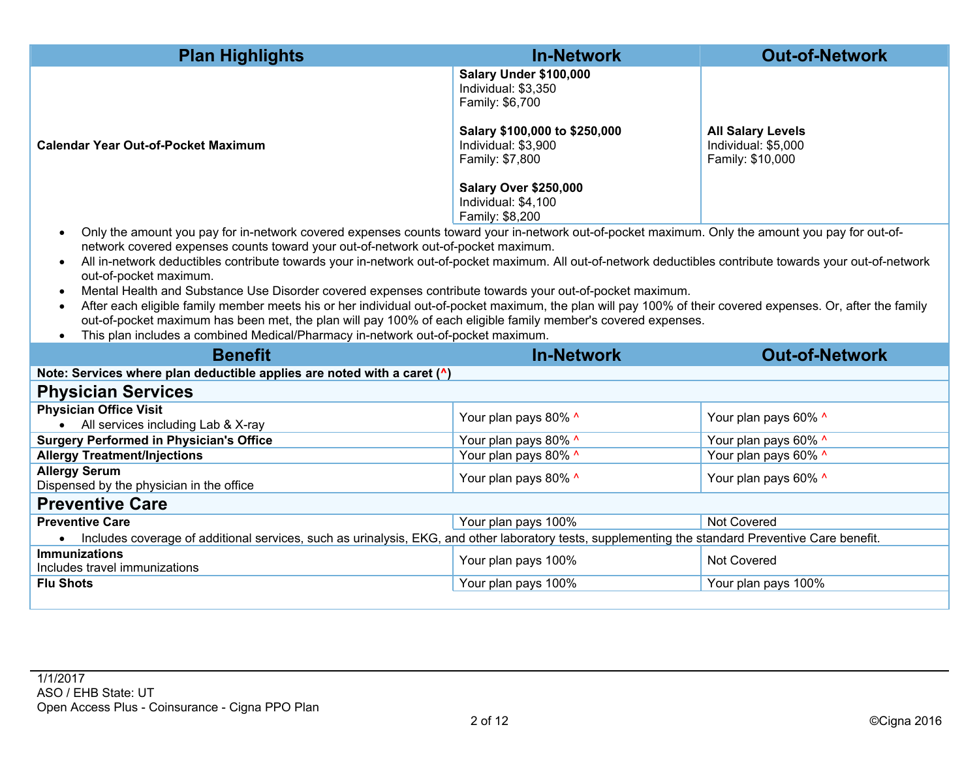| <b>Plan Highlights</b>                                                                                                                                                                                                                                                                                                                                                                                                                                                                                                                                                                                                                                                                                                                                                                                                                                                                                                                               | <b>In-Network</b>                                                                                 | <b>Out-of-Network</b>                   |  |  |  |  |  |
|------------------------------------------------------------------------------------------------------------------------------------------------------------------------------------------------------------------------------------------------------------------------------------------------------------------------------------------------------------------------------------------------------------------------------------------------------------------------------------------------------------------------------------------------------------------------------------------------------------------------------------------------------------------------------------------------------------------------------------------------------------------------------------------------------------------------------------------------------------------------------------------------------------------------------------------------------|---------------------------------------------------------------------------------------------------|-----------------------------------------|--|--|--|--|--|
|                                                                                                                                                                                                                                                                                                                                                                                                                                                                                                                                                                                                                                                                                                                                                                                                                                                                                                                                                      | Salary Under \$100,000<br>Individual: \$3,350<br>Family: \$6,700<br>Salary \$100,000 to \$250,000 | <b>All Salary Levels</b>                |  |  |  |  |  |
| <b>Calendar Year Out-of-Pocket Maximum</b>                                                                                                                                                                                                                                                                                                                                                                                                                                                                                                                                                                                                                                                                                                                                                                                                                                                                                                           | Individual: \$3,900<br>Family: \$7,800<br><b>Salary Over \$250,000</b><br>Individual: \$4,100     | Individual: \$5,000<br>Family: \$10,000 |  |  |  |  |  |
|                                                                                                                                                                                                                                                                                                                                                                                                                                                                                                                                                                                                                                                                                                                                                                                                                                                                                                                                                      | Family: \$8,200                                                                                   |                                         |  |  |  |  |  |
| Only the amount you pay for in-network covered expenses counts toward your in-network out-of-pocket maximum. Only the amount you pay for out-of-<br>$\bullet$<br>network covered expenses counts toward your out-of-network out-of-pocket maximum.<br>All in-network deductibles contribute towards your in-network out-of-pocket maximum. All out-of-network deductibles contribute towards your out-of-network<br>$\bullet$<br>out-of-pocket maximum.<br>Mental Health and Substance Use Disorder covered expenses contribute towards your out-of-pocket maximum.<br>$\bullet$<br>After each eligible family member meets his or her individual out-of-pocket maximum, the plan will pay 100% of their covered expenses. Or, after the family<br>out-of-pocket maximum has been met, the plan will pay 100% of each eligible family member's covered expenses.<br>This plan includes a combined Medical/Pharmacy in-network out-of-pocket maximum. |                                                                                                   |                                         |  |  |  |  |  |
|                                                                                                                                                                                                                                                                                                                                                                                                                                                                                                                                                                                                                                                                                                                                                                                                                                                                                                                                                      |                                                                                                   |                                         |  |  |  |  |  |
| <b>Benefit</b>                                                                                                                                                                                                                                                                                                                                                                                                                                                                                                                                                                                                                                                                                                                                                                                                                                                                                                                                       | <b>In-Network</b>                                                                                 | <b>Out-of-Network</b>                   |  |  |  |  |  |
| Note: Services where plan deductible applies are noted with a caret (^)                                                                                                                                                                                                                                                                                                                                                                                                                                                                                                                                                                                                                                                                                                                                                                                                                                                                              |                                                                                                   |                                         |  |  |  |  |  |
| <b>Physician Services</b>                                                                                                                                                                                                                                                                                                                                                                                                                                                                                                                                                                                                                                                                                                                                                                                                                                                                                                                            |                                                                                                   |                                         |  |  |  |  |  |
| <b>Physician Office Visit</b><br>• All services including Lab & X-ray                                                                                                                                                                                                                                                                                                                                                                                                                                                                                                                                                                                                                                                                                                                                                                                                                                                                                | Your plan pays 80% ^                                                                              | Your plan pays 60% ^                    |  |  |  |  |  |
| <b>Surgery Performed in Physician's Office</b>                                                                                                                                                                                                                                                                                                                                                                                                                                                                                                                                                                                                                                                                                                                                                                                                                                                                                                       | Your plan pays 80% ^                                                                              | Your plan pays 60% ^                    |  |  |  |  |  |
| <b>Allergy Treatment/Injections</b>                                                                                                                                                                                                                                                                                                                                                                                                                                                                                                                                                                                                                                                                                                                                                                                                                                                                                                                  | Your plan pays 80% ^                                                                              | Your plan pays 60% ^                    |  |  |  |  |  |
| <b>Allergy Serum</b><br>Dispensed by the physician in the office                                                                                                                                                                                                                                                                                                                                                                                                                                                                                                                                                                                                                                                                                                                                                                                                                                                                                     | Your plan pays 80% ^                                                                              | Your plan pays 60% ^                    |  |  |  |  |  |
| <b>Preventive Care</b>                                                                                                                                                                                                                                                                                                                                                                                                                                                                                                                                                                                                                                                                                                                                                                                                                                                                                                                               |                                                                                                   |                                         |  |  |  |  |  |
| <b>Preventive Care</b>                                                                                                                                                                                                                                                                                                                                                                                                                                                                                                                                                                                                                                                                                                                                                                                                                                                                                                                               | Your plan pays 100%                                                                               | <b>Not Covered</b>                      |  |  |  |  |  |
| Includes coverage of additional services, such as urinalysis, EKG, and other laboratory tests, supplementing the standard Preventive Care benefit.                                                                                                                                                                                                                                                                                                                                                                                                                                                                                                                                                                                                                                                                                                                                                                                                   |                                                                                                   |                                         |  |  |  |  |  |
| <b>Immunizations</b><br>Includes travel immunizations                                                                                                                                                                                                                                                                                                                                                                                                                                                                                                                                                                                                                                                                                                                                                                                                                                                                                                | Your plan pays 100%                                                                               | <b>Not Covered</b>                      |  |  |  |  |  |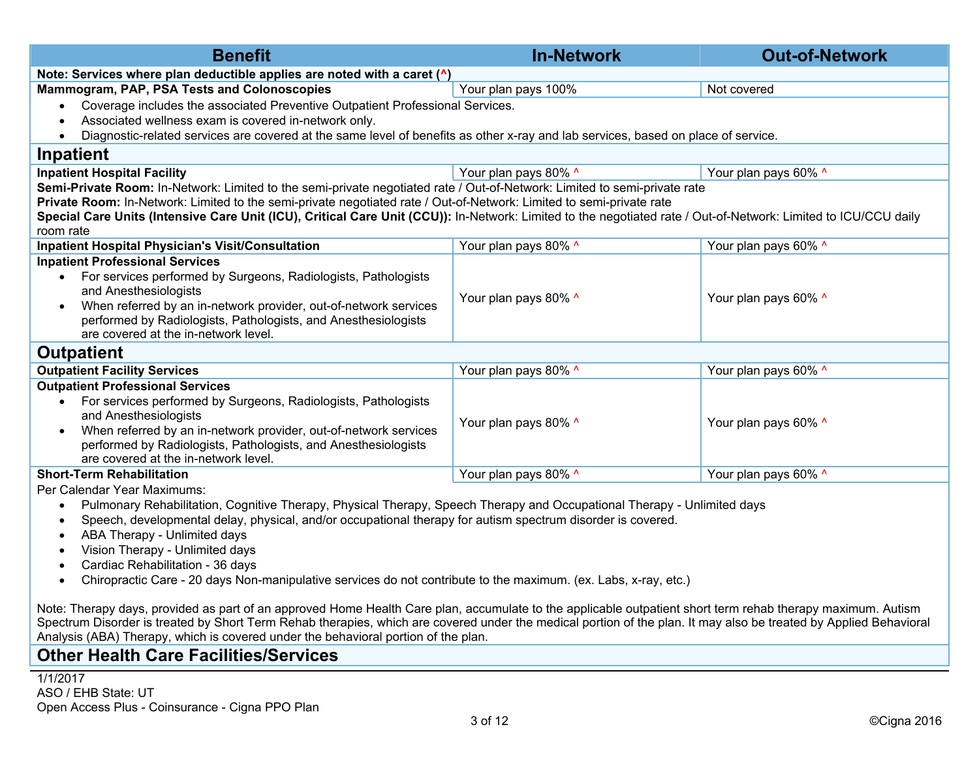| <b>Benefit</b>                                                                                                                                                                                                                                                                                                                                                                                                                                                                                                                                                                                                                                                                                                                                                                                                                                                                                                                                                                                          | <b>In-Network</b>    | <b>Out-of-Network</b> |  |  |  |  |  |  |  |
|---------------------------------------------------------------------------------------------------------------------------------------------------------------------------------------------------------------------------------------------------------------------------------------------------------------------------------------------------------------------------------------------------------------------------------------------------------------------------------------------------------------------------------------------------------------------------------------------------------------------------------------------------------------------------------------------------------------------------------------------------------------------------------------------------------------------------------------------------------------------------------------------------------------------------------------------------------------------------------------------------------|----------------------|-----------------------|--|--|--|--|--|--|--|
| Note: Services where plan deductible applies are noted with a caret (^)                                                                                                                                                                                                                                                                                                                                                                                                                                                                                                                                                                                                                                                                                                                                                                                                                                                                                                                                 |                      |                       |  |  |  |  |  |  |  |
| Mammogram, PAP, PSA Tests and Colonoscopies                                                                                                                                                                                                                                                                                                                                                                                                                                                                                                                                                                                                                                                                                                                                                                                                                                                                                                                                                             | Your plan pays 100%  | Not covered           |  |  |  |  |  |  |  |
| Coverage includes the associated Preventive Outpatient Professional Services.<br>$\bullet$<br>Associated wellness exam is covered in-network only.<br>$\bullet$<br>Diagnostic-related services are covered at the same level of benefits as other x-ray and lab services, based on place of service.<br>$\bullet$                                                                                                                                                                                                                                                                                                                                                                                                                                                                                                                                                                                                                                                                                       |                      |                       |  |  |  |  |  |  |  |
| Inpatient                                                                                                                                                                                                                                                                                                                                                                                                                                                                                                                                                                                                                                                                                                                                                                                                                                                                                                                                                                                               |                      |                       |  |  |  |  |  |  |  |
| <b>Inpatient Hospital Facility</b>                                                                                                                                                                                                                                                                                                                                                                                                                                                                                                                                                                                                                                                                                                                                                                                                                                                                                                                                                                      | Your plan pays 80% ^ | Your plan pays 60% ^  |  |  |  |  |  |  |  |
| Semi-Private Room: In-Network: Limited to the semi-private negotiated rate / Out-of-Network: Limited to semi-private rate<br>Private Room: In-Network: Limited to the semi-private negotiated rate / Out-of-Network: Limited to semi-private rate<br>Special Care Units (Intensive Care Unit (ICU), Critical Care Unit (CCU)): In-Network: Limited to the negotiated rate / Out-of-Network: Limited to ICU/CCU daily<br>room rate                                                                                                                                                                                                                                                                                                                                                                                                                                                                                                                                                                       |                      |                       |  |  |  |  |  |  |  |
| <b>Inpatient Hospital Physician's Visit/Consultation</b>                                                                                                                                                                                                                                                                                                                                                                                                                                                                                                                                                                                                                                                                                                                                                                                                                                                                                                                                                | Your plan pays 80% ^ | Your plan pays 60% ^  |  |  |  |  |  |  |  |
| <b>Inpatient Professional Services</b><br>For services performed by Surgeons, Radiologists, Pathologists<br>and Anesthesiologists<br>When referred by an in-network provider, out-of-network services<br>$\bullet$<br>performed by Radiologists, Pathologists, and Anesthesiologists<br>are covered at the in-network level.                                                                                                                                                                                                                                                                                                                                                                                                                                                                                                                                                                                                                                                                            | Your plan pays 80% ^ | Your plan pays 60% ^  |  |  |  |  |  |  |  |
| <b>Outpatient</b>                                                                                                                                                                                                                                                                                                                                                                                                                                                                                                                                                                                                                                                                                                                                                                                                                                                                                                                                                                                       |                      |                       |  |  |  |  |  |  |  |
| <b>Outpatient Facility Services</b>                                                                                                                                                                                                                                                                                                                                                                                                                                                                                                                                                                                                                                                                                                                                                                                                                                                                                                                                                                     | Your plan pays 80% ^ | Your plan pays 60% ^  |  |  |  |  |  |  |  |
| <b>Outpatient Professional Services</b><br>For services performed by Surgeons, Radiologists, Pathologists<br>$\bullet$<br>and Anesthesiologists<br>When referred by an in-network provider, out-of-network services<br>$\bullet$<br>performed by Radiologists, Pathologists, and Anesthesiologists<br>are covered at the in-network level.                                                                                                                                                                                                                                                                                                                                                                                                                                                                                                                                                                                                                                                              | Your plan pays 80% ^ | Your plan pays 60% ^  |  |  |  |  |  |  |  |
| <b>Short-Term Rehabilitation</b>                                                                                                                                                                                                                                                                                                                                                                                                                                                                                                                                                                                                                                                                                                                                                                                                                                                                                                                                                                        | Your plan pays 80% ^ | Your plan pays 60% ^  |  |  |  |  |  |  |  |
| Per Calendar Year Maximums:<br>Pulmonary Rehabilitation, Cognitive Therapy, Physical Therapy, Speech Therapy and Occupational Therapy - Unlimited days<br>$\bullet$<br>Speech, developmental delay, physical, and/or occupational therapy for autism spectrum disorder is covered.<br>$\bullet$<br>ABA Therapy - Unlimited days<br>$\bullet$<br>Vision Therapy - Unlimited days<br>$\bullet$<br>Cardiac Rehabilitation - 36 days<br>$\bullet$<br>Chiropractic Care - 20 days Non-manipulative services do not contribute to the maximum. (ex. Labs, x-ray, etc.)<br>$\bullet$<br>Note: Therapy days, provided as part of an approved Home Health Care plan, accumulate to the applicable outpatient short term rehab therapy maximum. Autism<br>Spectrum Disorder is treated by Short Term Rehab therapies, which are covered under the medical portion of the plan. It may also be treated by Applied Behavioral<br>Analysis (ABA) Therapy, which is covered under the behavioral portion of the plan. |                      |                       |  |  |  |  |  |  |  |

## **Other Health Care Facilities/Services**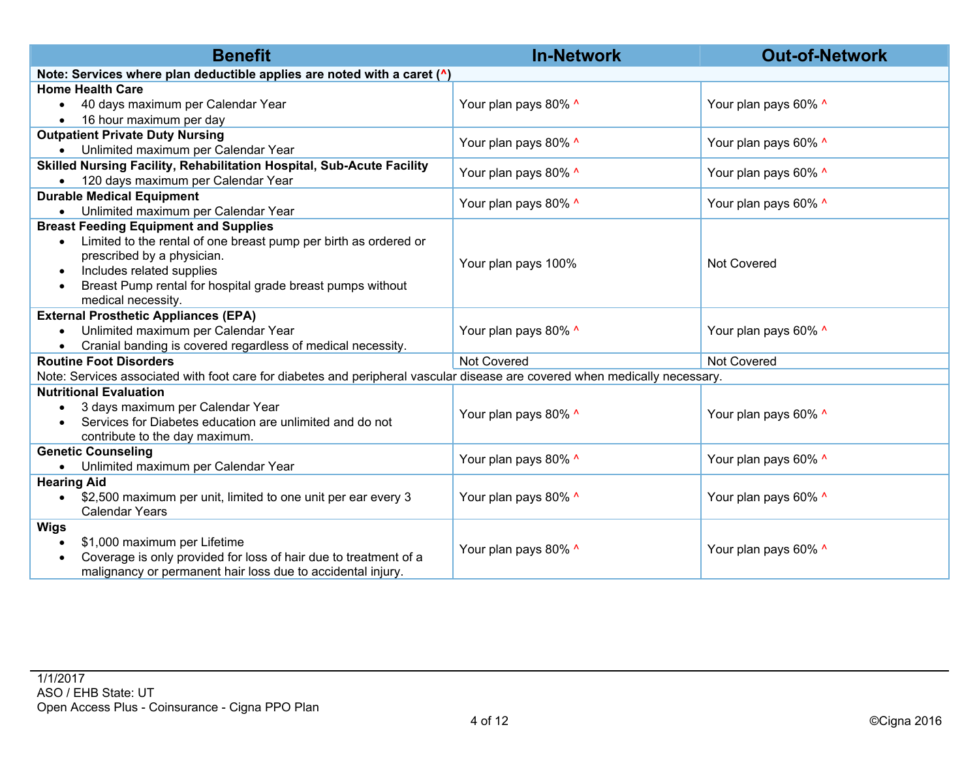| <b>Benefit</b>                                                                                                              | <b>In-Network</b>    | <b>Out-of-Network</b> |  |  |
|-----------------------------------------------------------------------------------------------------------------------------|----------------------|-----------------------|--|--|
| Note: Services where plan deductible applies are noted with a caret (^)                                                     |                      |                       |  |  |
| <b>Home Health Care</b>                                                                                                     |                      |                       |  |  |
| 40 days maximum per Calendar Year<br>$\bullet$                                                                              | Your plan pays 80% ^ | Your plan pays 60% ^  |  |  |
| 16 hour maximum per day<br>$\bullet$                                                                                        |                      |                       |  |  |
| <b>Outpatient Private Duty Nursing</b>                                                                                      | Your plan pays 80% ^ | Your plan pays 60% ^  |  |  |
| Unlimited maximum per Calendar Year<br>$\bullet$                                                                            |                      |                       |  |  |
| Skilled Nursing Facility, Rehabilitation Hospital, Sub-Acute Facility                                                       | Your plan pays 80% ^ | Your plan pays 60% ^  |  |  |
| 120 days maximum per Calendar Year<br>$\bullet$                                                                             |                      |                       |  |  |
| <b>Durable Medical Equipment</b>                                                                                            | Your plan pays 80% ^ | Your plan pays 60% ^  |  |  |
| Unlimited maximum per Calendar Year<br>$\bullet$                                                                            |                      |                       |  |  |
| <b>Breast Feeding Equipment and Supplies</b>                                                                                |                      |                       |  |  |
| Limited to the rental of one breast pump per birth as ordered or<br>$\bullet$                                               |                      | Not Covered           |  |  |
| prescribed by a physician.                                                                                                  | Your plan pays 100%  |                       |  |  |
| Includes related supplies<br>$\bullet$                                                                                      |                      |                       |  |  |
| Breast Pump rental for hospital grade breast pumps without<br>$\bullet$                                                     |                      |                       |  |  |
| medical necessity.                                                                                                          |                      |                       |  |  |
| <b>External Prosthetic Appliances (EPA)</b>                                                                                 |                      | Your plan pays 60% ^  |  |  |
| Unlimited maximum per Calendar Year<br>$\bullet$                                                                            | Your plan pays 80% ^ |                       |  |  |
| Cranial banding is covered regardless of medical necessity.<br>$\bullet$                                                    |                      |                       |  |  |
| <b>Routine Foot Disorders</b>                                                                                               | Not Covered          | Not Covered           |  |  |
| Note: Services associated with foot care for diabetes and peripheral vascular disease are covered when medically necessary. |                      |                       |  |  |
| <b>Nutritional Evaluation</b>                                                                                               |                      |                       |  |  |
| 3 days maximum per Calendar Year<br>$\bullet$                                                                               | Your plan pays 80% ^ | Your plan pays 60% ^  |  |  |
| Services for Diabetes education are unlimited and do not                                                                    |                      |                       |  |  |
| contribute to the day maximum.<br><b>Genetic Counseling</b>                                                                 |                      |                       |  |  |
| Unlimited maximum per Calendar Year<br>$\bullet$                                                                            | Your plan pays 80% ^ | Your plan pays 60% ^  |  |  |
| <b>Hearing Aid</b>                                                                                                          |                      |                       |  |  |
| \$2,500 maximum per unit, limited to one unit per ear every 3<br>$\bullet$                                                  | Your plan pays 80% ^ | Your plan pays 60% ^  |  |  |
| <b>Calendar Years</b>                                                                                                       |                      |                       |  |  |
| <b>Wigs</b>                                                                                                                 |                      |                       |  |  |
| \$1,000 maximum per Lifetime<br>$\bullet$                                                                                   |                      |                       |  |  |
| Coverage is only provided for loss of hair due to treatment of a                                                            | Your plan pays 80% ^ | Your plan pays 60% ^  |  |  |
| malignancy or permanent hair loss due to accidental injury.                                                                 |                      |                       |  |  |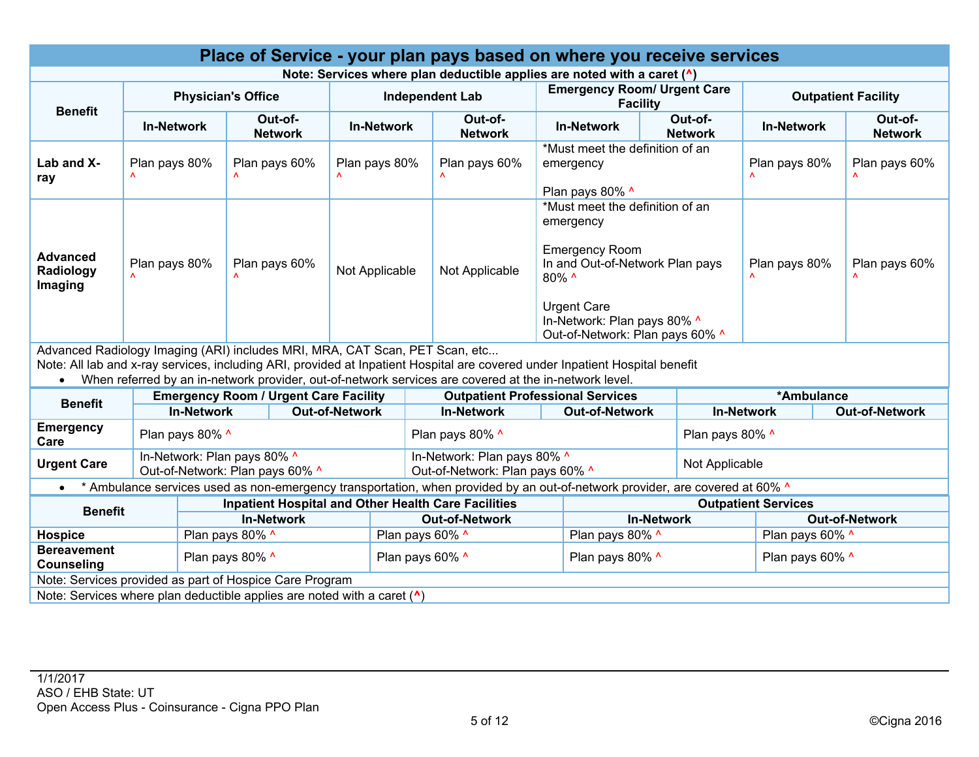| Place of Service - your plan pays based on where you receive services                                                                     |                                                                |                   |                                |                                              |                                                       |                                                                                  |                                                                                                                                                                                                                                       |                                                                                                                                                                                                           |                                                |                            |                                            |                       |               |                           |
|-------------------------------------------------------------------------------------------------------------------------------------------|----------------------------------------------------------------|-------------------|--------------------------------|----------------------------------------------|-------------------------------------------------------|----------------------------------------------------------------------------------|---------------------------------------------------------------------------------------------------------------------------------------------------------------------------------------------------------------------------------------|-----------------------------------------------------------------------------------------------------------------------------------------------------------------------------------------------------------|------------------------------------------------|----------------------------|--------------------------------------------|-----------------------|---------------|---------------------------|
| Note: Services where plan deductible applies are noted with a caret (^)                                                                   |                                                                |                   |                                |                                              |                                                       |                                                                                  |                                                                                                                                                                                                                                       |                                                                                                                                                                                                           |                                                |                            |                                            |                       |               |                           |
| <b>Benefit</b>                                                                                                                            | <b>Physician's Office</b>                                      |                   |                                |                                              | <b>Independent Lab</b>                                |                                                                                  | <b>Emergency Room/ Urgent Care</b><br><b>Facility</b>                                                                                                                                                                                 |                                                                                                                                                                                                           |                                                | <b>Outpatient Facility</b> |                                            |                       |               |                           |
|                                                                                                                                           | <b>In-Network</b>                                              |                   |                                | Out-of-<br><b>Network</b>                    |                                                       | <b>In-Network</b>                                                                | Out-of-<br><b>Network</b>                                                                                                                                                                                                             |                                                                                                                                                                                                           | Out-of-<br><b>In-Network</b><br><b>Network</b> |                            |                                            | <b>In-Network</b>     |               | Out-of-<br><b>Network</b> |
| Lab and X-<br>ray                                                                                                                         | Plan pays 80%                                                  |                   | Plan pays 60%<br>Plan pays 80% |                                              |                                                       | *Must meet the definition of an<br>Plan pays 60%<br>emergency<br>Plan pays 80% ^ |                                                                                                                                                                                                                                       | Plan pays 80%                                                                                                                                                                                             |                                                |                            | Plan pays 60%                              |                       |               |                           |
| <b>Advanced</b><br>Radiology<br>Imaging                                                                                                   | Plan pays 80%                                                  |                   | Plan pays 60%                  |                                              | Not Applicable                                        |                                                                                  | Not Applicable                                                                                                                                                                                                                        | *Must meet the definition of an<br>emergency<br><b>Emergency Room</b><br>In and Out-of-Network Plan pays<br>80% ^<br><b>Urgent Care</b><br>In-Network: Plan pays 80% ^<br>Out-of-Network: Plan pays 60% ^ |                                                |                            | Plan pays 80%                              |                       | Plan pays 60% |                           |
| Advanced Radiology Imaging (ARI) includes MRI, MRA, CAT Scan, PET Scan, etc<br>$\bullet$                                                  |                                                                |                   |                                |                                              |                                                       |                                                                                  | Note: All lab and x-ray services, including ARI, provided at Inpatient Hospital are covered under Inpatient Hospital benefit<br>When referred by an in-network provider, out-of-network services are covered at the in-network level. |                                                                                                                                                                                                           |                                                |                            |                                            |                       |               |                           |
| <b>Benefit</b>                                                                                                                            |                                                                |                   |                                | <b>Emergency Room / Urgent Care Facility</b> |                                                       |                                                                                  | <b>Outpatient Professional Services</b>                                                                                                                                                                                               |                                                                                                                                                                                                           |                                                |                            |                                            | *Ambulance            |               |                           |
|                                                                                                                                           |                                                                | <b>In-Network</b> |                                |                                              | <b>Out-of-Network</b>                                 |                                                                                  | <b>In-Network</b><br><b>Out-of-Network</b>                                                                                                                                                                                            |                                                                                                                                                                                                           |                                                |                            | <b>In-Network</b><br><b>Out-of-Network</b> |                       |               |                           |
| <b>Emergency</b><br>Care                                                                                                                  | Plan pays 80% ^                                                |                   |                                |                                              |                                                       |                                                                                  | Plan pays 80% ^                                                                                                                                                                                                                       |                                                                                                                                                                                                           |                                                |                            | Plan pays 80% ^                            |                       |               |                           |
| <b>Urgent Care</b>                                                                                                                        | In-Network: Plan pays 80% ^<br>Out-of-Network: Plan pays 60% ^ |                   |                                |                                              |                                                       |                                                                                  | In-Network: Plan pays 80% ^<br>Out-of-Network: Plan pays 60% ^                                                                                                                                                                        |                                                                                                                                                                                                           |                                                |                            | Not Applicable                             |                       |               |                           |
| * Ambulance services used as non-emergency transportation, when provided by an out-of-network provider, are covered at 60% ^<br>$\bullet$ |                                                                |                   |                                |                                              |                                                       |                                                                                  |                                                                                                                                                                                                                                       |                                                                                                                                                                                                           |                                                |                            |                                            |                       |               |                           |
| <b>Inpatient Hospital and Other Health Care Facilities</b><br><b>Outpatient Services</b><br><b>Benefit</b>                                |                                                                |                   |                                |                                              |                                                       |                                                                                  |                                                                                                                                                                                                                                       |                                                                                                                                                                                                           |                                                |                            |                                            |                       |               |                           |
| <b>In-Network</b>                                                                                                                         |                                                                |                   |                                |                                              | <b>Out-of-Network</b>                                 |                                                                                  |                                                                                                                                                                                                                                       | <b>In-Network</b>                                                                                                                                                                                         |                                                |                            |                                            | <b>Out-of-Network</b> |               |                           |
| <b>Hospice</b>                                                                                                                            | Plan pays 80% ^                                                |                   |                                |                                              | Plan pays 60% ^                                       |                                                                                  |                                                                                                                                                                                                                                       | Plan pays 80% ^                                                                                                                                                                                           |                                                |                            | Plan pays 60% ^                            |                       |               |                           |
| <b>Bereavement</b><br>Plan pays 80% ^<br>Counseling                                                                                       |                                                                |                   |                                |                                              | Plan pays 60% ^<br>Plan pays 80% ^<br>Plan pays 60% ^ |                                                                                  |                                                                                                                                                                                                                                       |                                                                                                                                                                                                           |                                                |                            |                                            |                       |               |                           |
| Note: Services provided as part of Hospice Care Program                                                                                   |                                                                |                   |                                |                                              |                                                       |                                                                                  |                                                                                                                                                                                                                                       |                                                                                                                                                                                                           |                                                |                            |                                            |                       |               |                           |
| Note: Services where plan deductible applies are noted with a caret $(^{\wedge})$                                                         |                                                                |                   |                                |                                              |                                                       |                                                                                  |                                                                                                                                                                                                                                       |                                                                                                                                                                                                           |                                                |                            |                                            |                       |               |                           |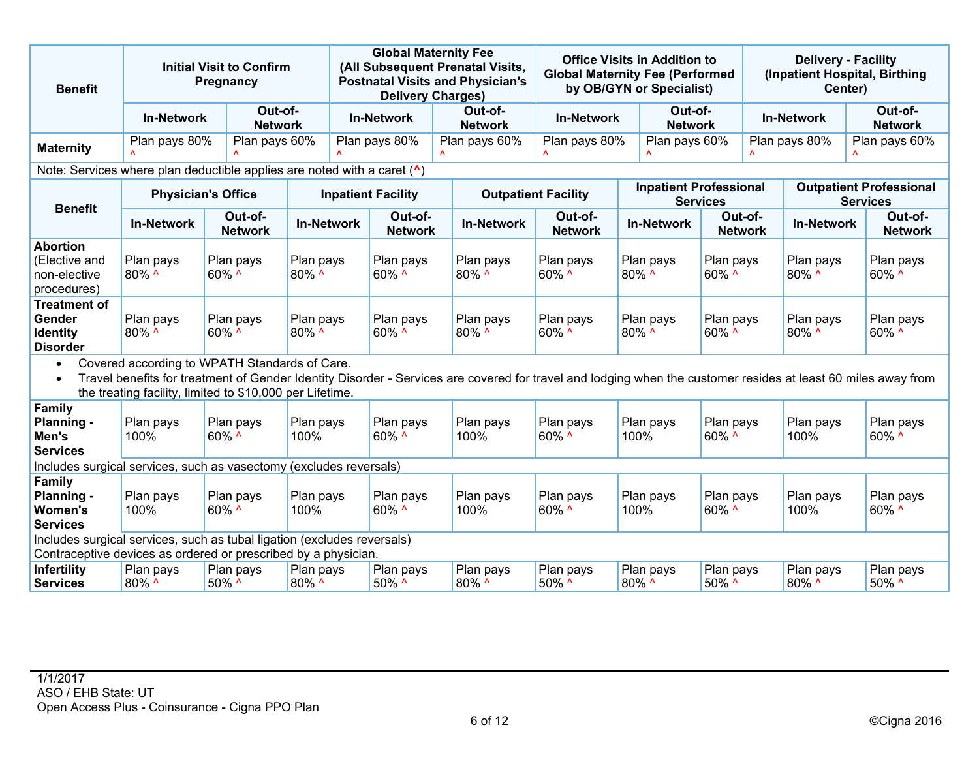| <b>Benefit</b>                                                                                                                                                                                                                                                                          |                           | <b>Initial Visit to Confirm</b><br>Pregnancy |                                    | <b>Global Maternity Fee</b><br>(All Subsequent Prenatal Visits,<br><b>Postnatal Visits and Physician's</b><br><b>Delivery Charges)</b> |                   |                           | <b>Office Visits in Addition to</b><br><b>Global Maternity Fee (Performed</b><br>by OB/GYN or Specialist) |                            | <b>Delivery - Facility</b><br>(Inpatient Hospital, Birthing<br>Center) |                           |                   |                    |                                                   |  |
|-----------------------------------------------------------------------------------------------------------------------------------------------------------------------------------------------------------------------------------------------------------------------------------------|---------------------------|----------------------------------------------|------------------------------------|----------------------------------------------------------------------------------------------------------------------------------------|-------------------|---------------------------|-----------------------------------------------------------------------------------------------------------|----------------------------|------------------------------------------------------------------------|---------------------------|-------------------|--------------------|---------------------------------------------------|--|
|                                                                                                                                                                                                                                                                                         | <b>In-Network</b>         |                                              | Out-of-<br><b>Network</b>          |                                                                                                                                        | <b>In-Network</b> |                           | Out-of-<br><b>Network</b>                                                                                 | <b>In-Network</b>          | Out-of-<br><b>Network</b>                                              |                           | <b>In-Network</b> |                    | Out-of-<br><b>Network</b>                         |  |
| <b>Maternity</b>                                                                                                                                                                                                                                                                        | Plan pays 80%             |                                              | Plan pays 60%                      | Plan pays 80%                                                                                                                          |                   |                           | Plan pays 60%                                                                                             | Plan pays 80%              | Plan pays 60%                                                          |                           |                   | Plan pays 80%      | Plan pays 60%                                     |  |
| Note: Services where plan deductible applies are noted with a caret ( <sup>^</sup> )                                                                                                                                                                                                    |                           |                                              |                                    |                                                                                                                                        |                   |                           |                                                                                                           |                            |                                                                        |                           |                   |                    |                                                   |  |
| <b>Benefit</b>                                                                                                                                                                                                                                                                          | <b>Physician's Office</b> |                                              |                                    |                                                                                                                                        |                   | <b>Inpatient Facility</b> |                                                                                                           | <b>Outpatient Facility</b> | <b>Inpatient Professional</b>                                          | <b>Services</b>           |                   |                    | <b>Outpatient Professional</b><br><b>Services</b> |  |
|                                                                                                                                                                                                                                                                                         | <b>In-Network</b>         |                                              | Out-of-<br><b>Network</b>          | <b>In-Network</b>                                                                                                                      |                   | Out-of-<br><b>Network</b> | <b>In-Network</b>                                                                                         | Out-of-<br><b>Network</b>  | <b>In-Network</b>                                                      | Out-of-<br><b>Network</b> |                   | <b>In-Network</b>  | Out-of-<br><b>Network</b>                         |  |
| <b>Abortion</b><br>(Elective and<br>non-elective<br>procedures)                                                                                                                                                                                                                         | Plan pays<br>80% ^        | 60% ^                                        | Plan pays                          | Plan pays<br>80% ^                                                                                                                     |                   | Plan pays<br>60% ^        | Plan pays<br>80% ^                                                                                        | Plan pays<br>60% ^         | Plan pays<br>80% ^                                                     | Plan pays<br>60% ^        |                   | Plan pays<br>80% ^ | Plan pays<br>60% ^                                |  |
| <b>Treatment of</b><br>Gender<br><b>Identity</b><br><b>Disorder</b>                                                                                                                                                                                                                     | Plan pays<br>80% ^        | $60\%$ ^                                     | Plan pays<br>Plan pays<br>$80\%$ ^ |                                                                                                                                        |                   | Plan pays<br>60% ^        | Plan pays<br>80% ^                                                                                        | Plan pays<br>60% ^         | Plan pays<br>$80\%$ ^                                                  | Plan pays<br>60% ^        |                   | Plan pays<br>80% ^ | Plan pays<br>60% ^                                |  |
| Covered according to WPATH Standards of Care.<br>$\bullet$<br>Travel benefits for treatment of Gender Identity Disorder - Services are covered for travel and lodging when the customer resides at least 60 miles away from<br>the treating facility, limited to \$10,000 per Lifetime. |                           |                                              |                                    |                                                                                                                                        |                   |                           |                                                                                                           |                            |                                                                        |                           |                   |                    |                                                   |  |
| Family<br>Planning -<br>Men's<br><b>Services</b>                                                                                                                                                                                                                                        | Plan pays<br>100%         | $60\%$ ^                                     | Plan pays                          | Plan pays<br>100%                                                                                                                      |                   | Plan pays<br>$60\%$ ^     | Plan pays<br>100%                                                                                         | Plan pays<br>$60\%$ ^      | Plan pays<br>100%                                                      | Plan pays<br>60% ^        |                   | Plan pays<br>100%  | Plan pays<br>$60\%$ ^                             |  |
| Includes surgical services, such as vasectomy (excludes reversals)                                                                                                                                                                                                                      |                           |                                              |                                    |                                                                                                                                        |                   |                           |                                                                                                           |                            |                                                                        |                           |                   |                    |                                                   |  |
| <b>Family</b><br>Planning -<br>Women's<br><b>Services</b>                                                                                                                                                                                                                               | Plan pays<br>100%         | $60\%$ ^                                     | Plan pays                          | Plan pays<br>100%                                                                                                                      |                   | Plan pays<br>$60\%$ ^     | Plan pays<br>100%                                                                                         | Plan pays<br>60% ^         | Plan pays<br>100%                                                      | Plan pays<br>$60\%$ ^     |                   | Plan pays<br>100%  | Plan pays<br>60% ^                                |  |
| Includes surgical services, such as tubal ligation (excludes reversals)<br>Contraceptive devices as ordered or prescribed by a physician.                                                                                                                                               |                           |                                              |                                    |                                                                                                                                        |                   |                           |                                                                                                           |                            |                                                                        |                           |                   |                    |                                                   |  |
| <b>Infertility</b><br><b>Services</b>                                                                                                                                                                                                                                                   | Plan pays<br>$80\%$ ^     | $50\%$ ^                                     | Plan pays                          | Plan pays<br>80% ^                                                                                                                     |                   | Plan pays<br>50% ^        | Plan pays<br>80% ^                                                                                        | Plan pays<br>$50\%$ ^      | Plan pays<br>80% ^                                                     | Plan pays<br>50% ^        |                   | Plan pays<br>80% ^ | Plan pays<br>50% ^                                |  |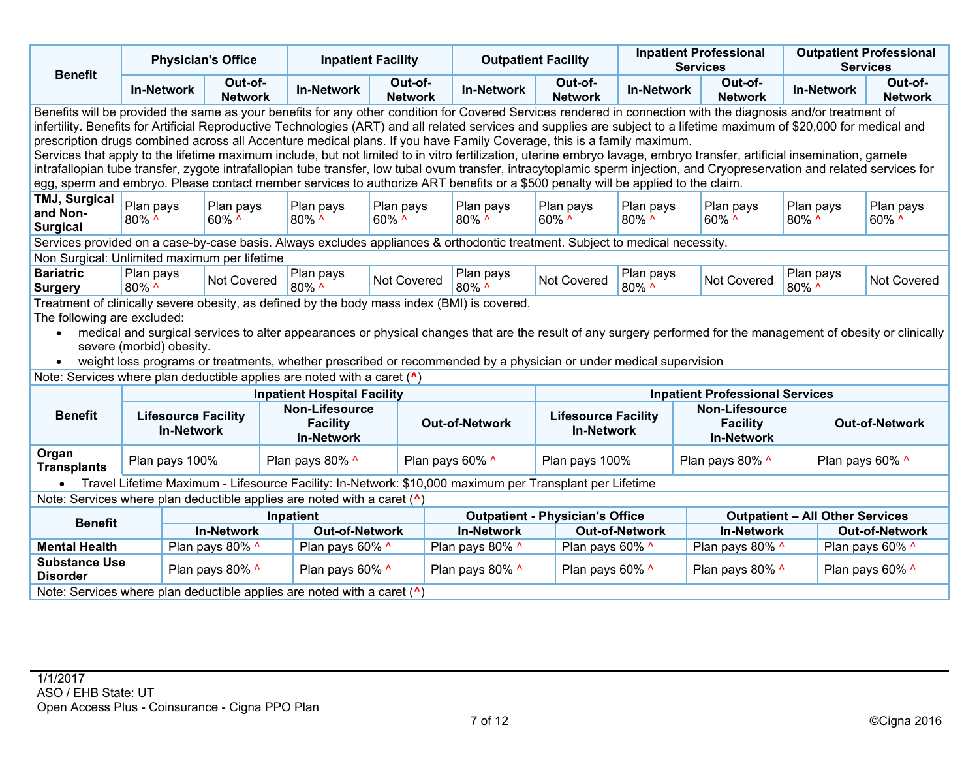| <b>Physician's Office</b><br><b>Benefit</b>                                                                                                                                                                                                                                                                                                                                                                                                                                                                                                                                                                                                                                                                                                                                                                                                                                                                                                                       |                                                                                                                                                                                                                                                                                                                                                                                                                                                                                                                           |                                                             | <b>Inpatient Facility</b> |                                                               |                                    | <b>Outpatient Facility</b> |                                          |                                                 | <b>Inpatient Professional</b><br><b>Services</b> | <b>Outpatient Professional</b><br><b>Services</b>             |                                        |                                        |                           |  |
|-------------------------------------------------------------------------------------------------------------------------------------------------------------------------------------------------------------------------------------------------------------------------------------------------------------------------------------------------------------------------------------------------------------------------------------------------------------------------------------------------------------------------------------------------------------------------------------------------------------------------------------------------------------------------------------------------------------------------------------------------------------------------------------------------------------------------------------------------------------------------------------------------------------------------------------------------------------------|---------------------------------------------------------------------------------------------------------------------------------------------------------------------------------------------------------------------------------------------------------------------------------------------------------------------------------------------------------------------------------------------------------------------------------------------------------------------------------------------------------------------------|-------------------------------------------------------------|---------------------------|---------------------------------------------------------------|------------------------------------|----------------------------|------------------------------------------|-------------------------------------------------|--------------------------------------------------|---------------------------------------------------------------|----------------------------------------|----------------------------------------|---------------------------|--|
|                                                                                                                                                                                                                                                                                                                                                                                                                                                                                                                                                                                                                                                                                                                                                                                                                                                                                                                                                                   | <b>In-Network</b>                                                                                                                                                                                                                                                                                                                                                                                                                                                                                                         |                                                             | Out-of-<br><b>Network</b> |                                                               | <b>In-Network</b>                  | Out-of-<br><b>Network</b>  |                                          | <b>In-Network</b>                               | Out-of-<br><b>Network</b>                        | <b>In-Network</b>                                             | Out-of-<br><b>Network</b>              | <b>In-Network</b>                      | Out-of-<br><b>Network</b> |  |
| Benefits will be provided the same as your benefits for any other condition for Covered Services rendered in connection with the diagnosis and/or treatment of<br>infertility. Benefits for Artificial Reproductive Technologies (ART) and all related services and supplies are subject to a lifetime maximum of \$20,000 for medical and<br>prescription drugs combined across all Accenture medical plans. If you have Family Coverage, this is a family maximum.<br>Services that apply to the lifetime maximum include, but not limited to in vitro fertilization, uterine embryo lavage, embryo transfer, artificial insemination, gamete<br>intrafallopian tube transfer, zygote intrafallopian tube transfer, low tubal ovum transfer, intracytoplamic sperm injection, and Cryopreservation and related services for<br>egg, sperm and embryo. Please contact member services to authorize ART benefits or a \$500 penalty will be applied to the claim. |                                                                                                                                                                                                                                                                                                                                                                                                                                                                                                                           |                                                             |                           |                                                               |                                    |                            |                                          |                                                 |                                                  |                                                               |                                        |                                        |                           |  |
| <b>TMJ, Surgical</b><br>and Non-<br><b>Surgical</b>                                                                                                                                                                                                                                                                                                                                                                                                                                                                                                                                                                                                                                                                                                                                                                                                                                                                                                               | Plan pays<br>80% ^                                                                                                                                                                                                                                                                                                                                                                                                                                                                                                        |                                                             | Plan pays<br>$60\%$ ^     |                                                               | Plan pays<br>80% ^                 | Plan pays<br>60% ^         |                                          | Plan pays<br>80% ^                              | Plan pays<br>60% ^                               | Plan pays<br>80% ^                                            | Plan pays<br>60% ^                     | Plan pays<br>80% ^                     | Plan pays<br>60% ^        |  |
| Services provided on a case-by-case basis. Always excludes appliances & orthodontic treatment. Subject to medical necessity.                                                                                                                                                                                                                                                                                                                                                                                                                                                                                                                                                                                                                                                                                                                                                                                                                                      |                                                                                                                                                                                                                                                                                                                                                                                                                                                                                                                           |                                                             |                           |                                                               |                                    |                            |                                          |                                                 |                                                  |                                                               |                                        |                                        |                           |  |
| Non Surgical: Unlimited maximum per lifetime                                                                                                                                                                                                                                                                                                                                                                                                                                                                                                                                                                                                                                                                                                                                                                                                                                                                                                                      |                                                                                                                                                                                                                                                                                                                                                                                                                                                                                                                           |                                                             |                           |                                                               |                                    |                            |                                          |                                                 |                                                  |                                                               |                                        |                                        |                           |  |
| <b>Bariatric</b><br><b>Surgery</b>                                                                                                                                                                                                                                                                                                                                                                                                                                                                                                                                                                                                                                                                                                                                                                                                                                                                                                                                | Plan pays<br>80% ^                                                                                                                                                                                                                                                                                                                                                                                                                                                                                                        |                                                             | <b>Not Covered</b>        |                                                               | Plan pays<br>80% ^                 | Not Covered                |                                          | Plan pays<br>80% ^                              | Not Covered                                      | Plan pays<br>80% ^                                            | <b>Not Covered</b>                     | Plan pays<br>80% ^                     | Not Covered               |  |
| $\bullet$                                                                                                                                                                                                                                                                                                                                                                                                                                                                                                                                                                                                                                                                                                                                                                                                                                                                                                                                                         | Treatment of clinically severe obesity, as defined by the body mass index (BMI) is covered.<br>The following are excluded:<br>medical and surgical services to alter appearances or physical changes that are the result of any surgery performed for the management of obesity or clinically<br>severe (morbid) obesity.<br>weight loss programs or treatments, whether prescribed or recommended by a physician or under medical supervision<br>Note: Services where plan deductible applies are noted with a caret (^) |                                                             |                           |                                                               |                                    |                            |                                          |                                                 |                                                  |                                                               |                                        |                                        |                           |  |
|                                                                                                                                                                                                                                                                                                                                                                                                                                                                                                                                                                                                                                                                                                                                                                                                                                                                                                                                                                   |                                                                                                                                                                                                                                                                                                                                                                                                                                                                                                                           |                                                             |                           |                                                               | <b>Inpatient Hospital Facility</b> |                            |                                          |                                                 |                                                  |                                                               | <b>Inpatient Professional Services</b> |                                        |                           |  |
| <b>Benefit</b>                                                                                                                                                                                                                                                                                                                                                                                                                                                                                                                                                                                                                                                                                                                                                                                                                                                                                                                                                    |                                                                                                                                                                                                                                                                                                                                                                                                                                                                                                                           | <b>Lifesource Facility</b><br><b>In-Network</b>             |                           | <b>Non-Lifesource</b><br><b>Facility</b><br><b>In-Network</b> |                                    |                            | <b>Out-of-Network</b>                    | <b>Lifesource Facility</b><br><b>In-Network</b> |                                                  | <b>Non-Lifesource</b><br><b>Facility</b><br><b>In-Network</b> | <b>Out-of-Network</b>                  |                                        |                           |  |
| Organ<br><b>Transplants</b>                                                                                                                                                                                                                                                                                                                                                                                                                                                                                                                                                                                                                                                                                                                                                                                                                                                                                                                                       | Plan pays 100%                                                                                                                                                                                                                                                                                                                                                                                                                                                                                                            |                                                             |                           | Plan pays 80% ^                                               |                                    |                            | Plan pays 60% ^                          |                                                 | Plan pays 100%                                   |                                                               | Plan pays 80% ^                        |                                        | Plan pays 60% ^           |  |
| Travel Lifetime Maximum - Lifesource Facility: In-Network: \$10,000 maximum per Transplant per Lifetime<br>$\bullet$                                                                                                                                                                                                                                                                                                                                                                                                                                                                                                                                                                                                                                                                                                                                                                                                                                              |                                                                                                                                                                                                                                                                                                                                                                                                                                                                                                                           |                                                             |                           |                                                               |                                    |                            |                                          |                                                 |                                                  |                                                               |                                        |                                        |                           |  |
| Note: Services where plan deductible applies are noted with a caret ( <sup>^</sup> )                                                                                                                                                                                                                                                                                                                                                                                                                                                                                                                                                                                                                                                                                                                                                                                                                                                                              |                                                                                                                                                                                                                                                                                                                                                                                                                                                                                                                           |                                                             |                           |                                                               |                                    |                            |                                          |                                                 |                                                  |                                                               |                                        |                                        |                           |  |
| <b>Benefit</b>                                                                                                                                                                                                                                                                                                                                                                                                                                                                                                                                                                                                                                                                                                                                                                                                                                                                                                                                                    |                                                                                                                                                                                                                                                                                                                                                                                                                                                                                                                           |                                                             | <b>In-Network</b>         | Inpatient                                                     |                                    |                            |                                          | <b>In-Network</b>                               | <b>Outpatient - Physician's Office</b>           |                                                               | <b>In-Network</b>                      | <b>Outpatient - All Other Services</b> | <b>Out-of-Network</b>     |  |
| <b>Mental Health</b>                                                                                                                                                                                                                                                                                                                                                                                                                                                                                                                                                                                                                                                                                                                                                                                                                                                                                                                                              |                                                                                                                                                                                                                                                                                                                                                                                                                                                                                                                           | <b>Out-of-Network</b><br>Plan pays 80% ^<br>Plan pays 60% ^ |                           |                                                               |                                    | Plan pays 80% ^            | <b>Out-of-Network</b><br>Plan pays 60% ^ |                                                 | Plan pays 80% ^                                  |                                                               | Plan pays 60% ^                        |                                        |                           |  |
| <b>Substance Use</b><br><b>Disorder</b>                                                                                                                                                                                                                                                                                                                                                                                                                                                                                                                                                                                                                                                                                                                                                                                                                                                                                                                           |                                                                                                                                                                                                                                                                                                                                                                                                                                                                                                                           |                                                             | Plan pays 80% ^           |                                                               | Plan pays 60% ^                    |                            | Plan pays 80% ^                          |                                                 | Plan pays 60% ^                                  |                                                               | Plan pays 80% ^                        |                                        | Plan pays 60% ^           |  |
| Note: Services where plan deductible applies are noted with a caret ( <sup>^</sup> )                                                                                                                                                                                                                                                                                                                                                                                                                                                                                                                                                                                                                                                                                                                                                                                                                                                                              |                                                                                                                                                                                                                                                                                                                                                                                                                                                                                                                           |                                                             |                           |                                                               |                                    |                            |                                          |                                                 |                                                  |                                                               |                                        |                                        |                           |  |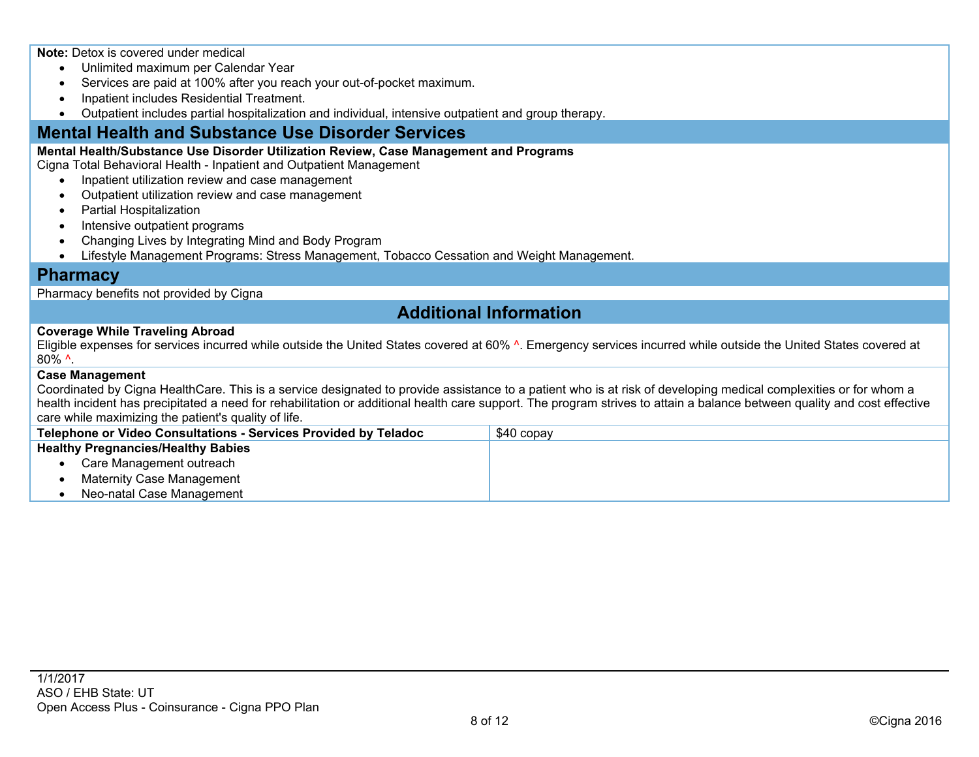**Note:** Detox is covered under medical

- Unlimited maximum per Calendar Year
- Services are paid at 100% after you reach your out-of-pocket maximum.
- Inpatient includes Residential Treatment.
- Outpatient includes partial hospitalization and individual, intensive outpatient and group therapy.

## **Mental Health and Substance Use Disorder Services**

#### **Mental Health/Substance Use Disorder Utilization Review, Case Management and Programs**

Cigna Total Behavioral Health - Inpatient and Outpatient Management

- Inpatient utilization review and case management
- Outpatient utilization review and case management
- Partial Hospitalization
- Intensive outpatient programs
- Changing Lives by Integrating Mind and Body Program
- Lifestyle Management Programs: Stress Management, Tobacco Cessation and Weight Management.

### **Pharmacy**

Pharmacy benefits not provided by Cigna

## **Additional Information**

#### **Coverage While Traveling Abroad**

Eligible expenses for services incurred while outside the United States covered at 60% ^. Emergency services incurred while outside the United States covered at 80% ^.

#### **Case Management**

Coordinated by Cigna HealthCare. This is a service designated to provide assistance to a patient who is at risk of developing medical complexities or for whom a health incident has precipitated a need for rehabilitation or additional health care support. The program strives to attain a balance between quality and cost effective care while maximizing the patient's quality of life.

| Telephone or Video Consultations - Services Provided by Teladoc | \$40 copav |
|-----------------------------------------------------------------|------------|
| <b>Healthy Pregnancies/Healthy Babies</b>                       |            |
| Care Management outreach                                        |            |
| <b>Maternity Case Management</b>                                |            |
| Neo-natal Case Management                                       |            |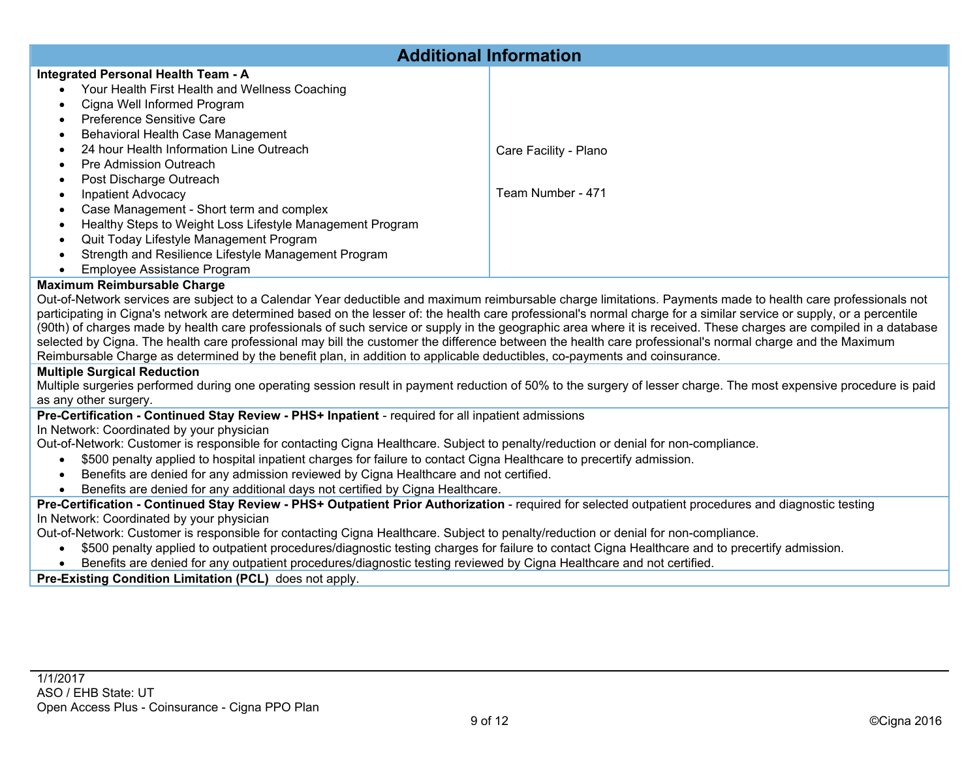| <b>Additional Information</b>                                                                                                                                 |                       |  |  |  |  |  |  |  |
|---------------------------------------------------------------------------------------------------------------------------------------------------------------|-----------------------|--|--|--|--|--|--|--|
| Integrated Personal Health Team - A                                                                                                                           |                       |  |  |  |  |  |  |  |
| Your Health First Health and Wellness Coaching                                                                                                                |                       |  |  |  |  |  |  |  |
| Cigna Well Informed Program                                                                                                                                   |                       |  |  |  |  |  |  |  |
| <b>Preference Sensitive Care</b>                                                                                                                              |                       |  |  |  |  |  |  |  |
| Behavioral Health Case Management                                                                                                                             |                       |  |  |  |  |  |  |  |
| 24 hour Health Information Line Outreach                                                                                                                      |                       |  |  |  |  |  |  |  |
|                                                                                                                                                               | Care Facility - Plano |  |  |  |  |  |  |  |
| Pre Admission Outreach                                                                                                                                        |                       |  |  |  |  |  |  |  |
| Post Discharge Outreach                                                                                                                                       |                       |  |  |  |  |  |  |  |
| <b>Inpatient Advocacy</b>                                                                                                                                     | Team Number - 471     |  |  |  |  |  |  |  |
| Case Management - Short term and complex                                                                                                                      |                       |  |  |  |  |  |  |  |
| Healthy Steps to Weight Loss Lifestyle Management Program                                                                                                     |                       |  |  |  |  |  |  |  |
| Quit Today Lifestyle Management Program                                                                                                                       |                       |  |  |  |  |  |  |  |
| Strength and Resilience Lifestyle Management Program                                                                                                          |                       |  |  |  |  |  |  |  |
| Employee Assistance Program                                                                                                                                   |                       |  |  |  |  |  |  |  |
| <b>Maximum Reimbursable Charge</b>                                                                                                                            |                       |  |  |  |  |  |  |  |
| Out-of-Network services are subject to a Calendar Year deductible and maximum reimbursable charge limitations. Payments made to health care professionals not |                       |  |  |  |  |  |  |  |

to a Calendar Year deductible and maximum reimbursable charge limitations. Payments made to health care professio participating in Cigna's network are determined based on the lesser of: the health care professional's normal charge for a similar service or supply, or a percentile (90th) of charges made by health care professionals of such service or supply in the geographic area where it is received. These charges are compiled in a database selected by Cigna. The health care professional may bill the customer the difference between the health care professional's normal charge and the Maximum Reimbursable Charge as determined by the benefit plan, in addition to applicable deductibles, co-payments and coinsurance.

### **Multiple Surgical Reduction**

Multiple surgeries performed during one operating session result in payment reduction of 50% to the surgery of lesser charge. The most expensive procedure is paid as any other surgery.

### **Pre-Certification - Continued Stay Review - PHS+ Inpatient** - required for all inpatient admissions

In Network: Coordinated by your physician

Out-of-Network: Customer is responsible for contacting Cigna Healthcare. Subject to penalty/reduction or denial for non-compliance.

- \$500 penalty applied to hospital inpatient charges for failure to contact Cigna Healthcare to precertify admission.
- Benefits are denied for any admission reviewed by Cigna Healthcare and not certified.
- Benefits are denied for any additional days not certified by Cigna Healthcare.

**Pre-Certification - Continued Stay Review - PHS+ Outpatient Prior Authorization** - required for selected outpatient procedures and diagnostic testing In Network: Coordinated by your physician

Out-of-Network: Customer is responsible for contacting Cigna Healthcare. Subject to penalty/reduction or denial for non-compliance.

- \$500 penalty applied to outpatient procedures/diagnostic testing charges for failure to contact Cigna Healthcare and to precertify admission.
- Benefits are denied for any outpatient procedures/diagnostic testing reviewed by Cigna Healthcare and not certified.

**Pre-Existing Condition Limitation (PCL)** does not apply.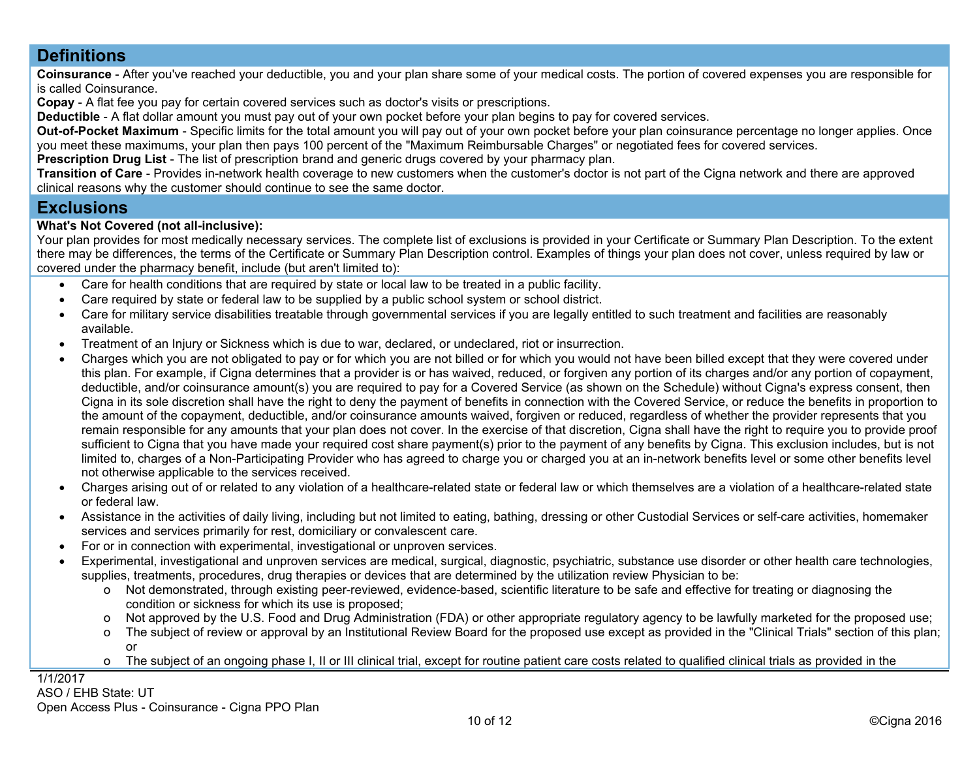## **Definitions**

**Coinsurance** - After you've reached your deductible, you and your plan share some of your medical costs. The portion of covered expenses you are responsible for is called Coinsurance.

**Copay** - A flat fee you pay for certain covered services such as doctor's visits or prescriptions.

**Deductible** - A flat dollar amount you must pay out of your own pocket before your plan begins to pay for covered services.

**Out-of-Pocket Maximum** - Specific limits for the total amount you will pay out of your own pocket before your plan coinsurance percentage no longer applies. Once you meet these maximums, your plan then pays 100 percent of the "Maximum Reimbursable Charges" or negotiated fees for covered services.

**Prescription Drug List** - The list of prescription brand and generic drugs covered by your pharmacy plan.

**Transition of Care** - Provides in-network health coverage to new customers when the customer's doctor is not part of the Cigna network and there are approved clinical reasons why the customer should continue to see the same doctor.

## **Exclusions**

#### **What's Not Covered (not all-inclusive):**

Your plan provides for most medically necessary services. The complete list of exclusions is provided in your Certificate or Summary Plan Description. To the extent there may be differences, the terms of the Certificate or Summary Plan Description control. Examples of things your plan does not cover, unless required by law or covered under the pharmacy benefit, include (but aren't limited to):

- Care for health conditions that are required by state or local law to be treated in a public facility.
- Care required by state or federal law to be supplied by a public school system or school district.
- Care for military service disabilities treatable through governmental services if you are legally entitled to such treatment and facilities are reasonably available.
- Treatment of an Injury or Sickness which is due to war, declared, or undeclared, riot or insurrection.
- Charges which you are not obligated to pay or for which you are not billed or for which you would not have been billed except that they were covered under this plan. For example, if Cigna determines that a provider is or has waived, reduced, or forgiven any portion of its charges and/or any portion of copayment, deductible, and/or coinsurance amount(s) you are required to pay for a Covered Service (as shown on the Schedule) without Cigna's express consent, then Cigna in its sole discretion shall have the right to deny the payment of benefits in connection with the Covered Service, or reduce the benefits in proportion to the amount of the copayment, deductible, and/or coinsurance amounts waived, forgiven or reduced, regardless of whether the provider represents that you remain responsible for any amounts that your plan does not cover. In the exercise of that discretion, Cigna shall have the right to require you to provide proof sufficient to Cigna that you have made your required cost share payment(s) prior to the payment of any benefits by Cigna. This exclusion includes, but is not limited to, charges of a Non-Participating Provider who has agreed to charge you or charged you at an in-network benefits level or some other benefits level not otherwise applicable to the services received.
- Charges arising out of or related to any violation of a healthcare-related state or federal law or which themselves are a violation of a healthcare-related state or federal law.
- Assistance in the activities of daily living, including but not limited to eating, bathing, dressing or other Custodial Services or self-care activities, homemaker services and services primarily for rest, domiciliary or convalescent care.
- For or in connection with experimental, investigational or unproven services.
- Experimental, investigational and unproven services are medical, surgical, diagnostic, psychiatric, substance use disorder or other health care technologies, supplies, treatments, procedures, drug therapies or devices that are determined by the utilization review Physician to be:
	- o Not demonstrated, through existing peer-reviewed, evidence-based, scientific literature to be safe and effective for treating or diagnosing the condition or sickness for which its use is proposed;
	- o Not approved by the U.S. Food and Drug Administration (FDA) or other appropriate regulatory agency to be lawfully marketed for the proposed use;
	- o The subject of review or approval by an Institutional Review Board for the proposed use except as provided in the "Clinical Trials" section of this plan; or
	- o The subject of an ongoing phase I, II or III clinical trial, except for routine patient care costs related to qualified clinical trials as provided in the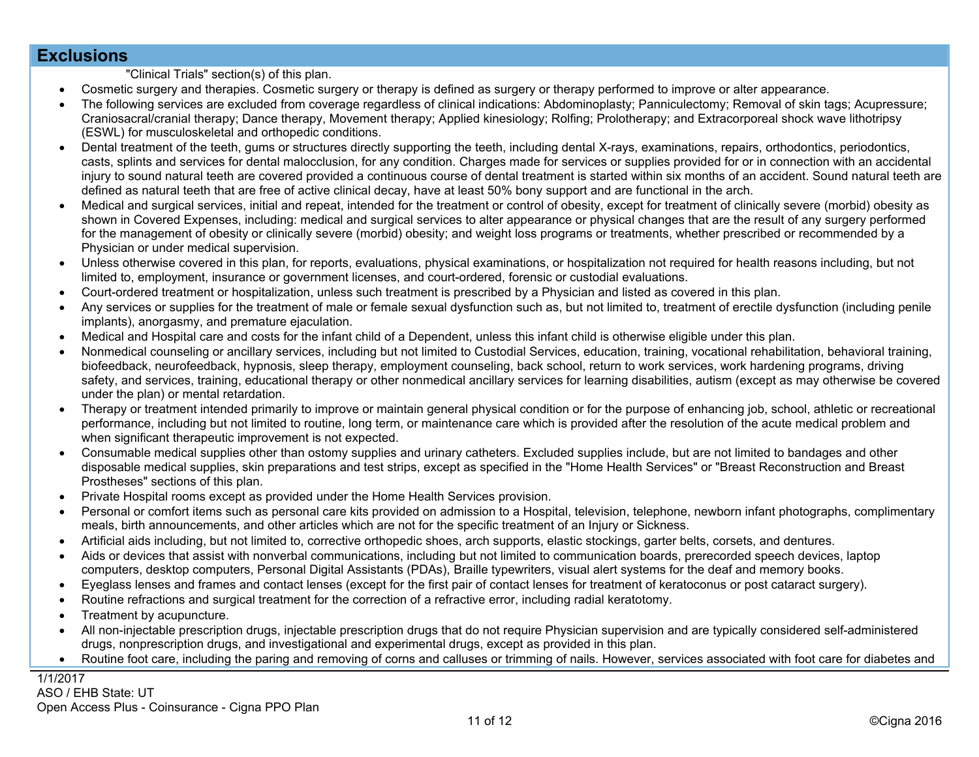### **Exclusions**

"Clinical Trials" section(s) of this plan.

- Cosmetic surgery and therapies. Cosmetic surgery or therapy is defined as surgery or therapy performed to improve or alter appearance.
- The following services are excluded from coverage regardless of clinical indications: Abdominoplasty; Panniculectomy; Removal of skin tags; Acupressure; Craniosacral/cranial therapy; Dance therapy, Movement therapy; Applied kinesiology; Rolfing; Prolotherapy; and Extracorporeal shock wave lithotripsy (ESWL) for musculoskeletal and orthopedic conditions.
- Dental treatment of the teeth, gums or structures directly supporting the teeth, including dental X-rays, examinations, repairs, orthodontics, periodontics, casts, splints and services for dental malocclusion, for any condition. Charges made for services or supplies provided for or in connection with an accidental injury to sound natural teeth are covered provided a continuous course of dental treatment is started within six months of an accident. Sound natural teeth are defined as natural teeth that are free of active clinical decay, have at least 50% bony support and are functional in the arch.
- Medical and surgical services, initial and repeat, intended for the treatment or control of obesity, except for treatment of clinically severe (morbid) obesity as shown in Covered Expenses, including: medical and surgical services to alter appearance or physical changes that are the result of any surgery performed for the management of obesity or clinically severe (morbid) obesity; and weight loss programs or treatments, whether prescribed or recommended by a Physician or under medical supervision.
- Unless otherwise covered in this plan, for reports, evaluations, physical examinations, or hospitalization not required for health reasons including, but not limited to, employment, insurance or government licenses, and court-ordered, forensic or custodial evaluations.
- Court-ordered treatment or hospitalization, unless such treatment is prescribed by a Physician and listed as covered in this plan.
- Any services or supplies for the treatment of male or female sexual dysfunction such as, but not limited to, treatment of erectile dysfunction (including penile implants), anorgasmy, and premature ejaculation.
- Medical and Hospital care and costs for the infant child of a Dependent, unless this infant child is otherwise eligible under this plan.
- Nonmedical counseling or ancillary services, including but not limited to Custodial Services, education, training, vocational rehabilitation, behavioral training, biofeedback, neurofeedback, hypnosis, sleep therapy, employment counseling, back school, return to work services, work hardening programs, driving safety, and services, training, educational therapy or other nonmedical ancillary services for learning disabilities, autism (except as may otherwise be covered under the plan) or mental retardation.
- Therapy or treatment intended primarily to improve or maintain general physical condition or for the purpose of enhancing job, school, athletic or recreational performance, including but not limited to routine, long term, or maintenance care which is provided after the resolution of the acute medical problem and when significant therapeutic improvement is not expected.
- Consumable medical supplies other than ostomy supplies and urinary catheters. Excluded supplies include, but are not limited to bandages and other disposable medical supplies, skin preparations and test strips, except as specified in the "Home Health Services" or "Breast Reconstruction and Breast Prostheses" sections of this plan.
- Private Hospital rooms except as provided under the Home Health Services provision.
- Personal or comfort items such as personal care kits provided on admission to a Hospital, television, telephone, newborn infant photographs, complimentary meals, birth announcements, and other articles which are not for the specific treatment of an Injury or Sickness.
- Artificial aids including, but not limited to, corrective orthopedic shoes, arch supports, elastic stockings, garter belts, corsets, and dentures.
- Aids or devices that assist with nonverbal communications, including but not limited to communication boards, prerecorded speech devices, laptop computers, desktop computers, Personal Digital Assistants (PDAs), Braille typewriters, visual alert systems for the deaf and memory books.
- Eyeglass lenses and frames and contact lenses (except for the first pair of contact lenses for treatment of keratoconus or post cataract surgery).
- Routine refractions and surgical treatment for the correction of a refractive error, including radial keratotomy.
- Treatment by acupuncture.
- All non-injectable prescription drugs, injectable prescription drugs that do not require Physician supervision and are typically considered self-administered drugs, nonprescription drugs, and investigational and experimental drugs, except as provided in this plan.
- Routine foot care, including the paring and removing of corns and calluses or trimming of nails. However, services associated with foot care for diabetes and